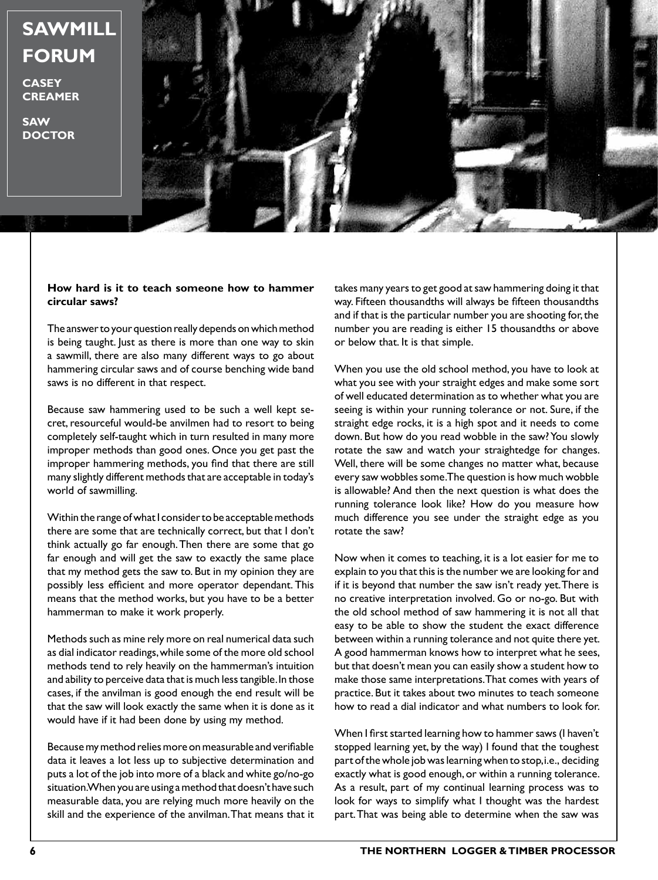# **SAWMILL FORUM**

**CASEY CREAMER**

**SAW DOCTOR**



#### **How hard is it to teach someone how to hammer circular saws?**

The answer to your question really depends on which method is being taught. Just as there is more than one way to skin a sawmill, there are also many different ways to go about hammering circular saws and of course benching wide band saws is no different in that respect.

Because saw hammering used to be such a well kept secret, resourceful would-be anvilmen had to resort to being completely self-taught which in turn resulted in many more improper methods than good ones. Once you get past the improper hammering methods, you find that there are still many slightly different methods that are acceptable in today's world of sawmilling.

Within the range of what I consider to be acceptable methods there are some that are technically correct, but that I don't think actually go far enough. Then there are some that go far enough and will get the saw to exactly the same place that my method gets the saw to. But in my opinion they are possibly less efficient and more operator dependant. This means that the method works, but you have to be a better hammerman to make it work properly.

Methods such as mine rely more on real numerical data such as dial indicator readings, while some of the more old school methods tend to rely heavily on the hammerman's intuition and ability to perceive data that is much less tangible. In those cases, if the anvilman is good enough the end result will be that the saw will look exactly the same when it is done as it would have if it had been done by using my method.

Because my method relies more on measurable and verifiable data it leaves a lot less up to subjective determination and puts a lot of the job into more of a black and white go/no-go situation. When you are using a method that doesn't have such measurable data, you are relying much more heavily on the skill and the experience of the anvilman. That means that it

takes many years to get good at saw hammering doing it that way. Fifteen thousandths will always be fifteen thousandths and if that is the particular number you are shooting for, the number you are reading is either 15 thousandths or above or below that. It is that simple.

When you use the old school method, you have to look at what you see with your straight edges and make some sort of well educated determination as to whether what you are seeing is within your running tolerance or not. Sure, if the straight edge rocks, it is a high spot and it needs to come down. But how do you read wobble in the saw? You slowly rotate the saw and watch your straightedge for changes. Well, there will be some changes no matter what, because every saw wobbles some. The question is how much wobble is allowable? And then the next question is what does the running tolerance look like? How do you measure how much difference you see under the straight edge as you rotate the saw?

Now when it comes to teaching, it is a lot easier for me to explain to you that this is the number we are looking for and if it is beyond that number the saw isn't ready yet. There is no creative interpretation involved. Go or no-go. But with the old school method of saw hammering it is not all that easy to be able to show the student the exact difference between within a running tolerance and not quite there yet. A good hammerman knows how to interpret what he sees, but that doesn't mean you can easily show a student how to make those same interpretations. That comes with years of practice. But it takes about two minutes to teach someone how to read a dial indicator and what numbers to look for.

When I first started learning how to hammer saws (I haven't stopped learning yet, by the way) I found that the toughest part of the whole job was learning when to stop, i.e., deciding exactly what is good enough, or within a running tolerance. As a result, part of my continual learning process was to look for ways to simplify what I thought was the hardest part. That was being able to determine when the saw was